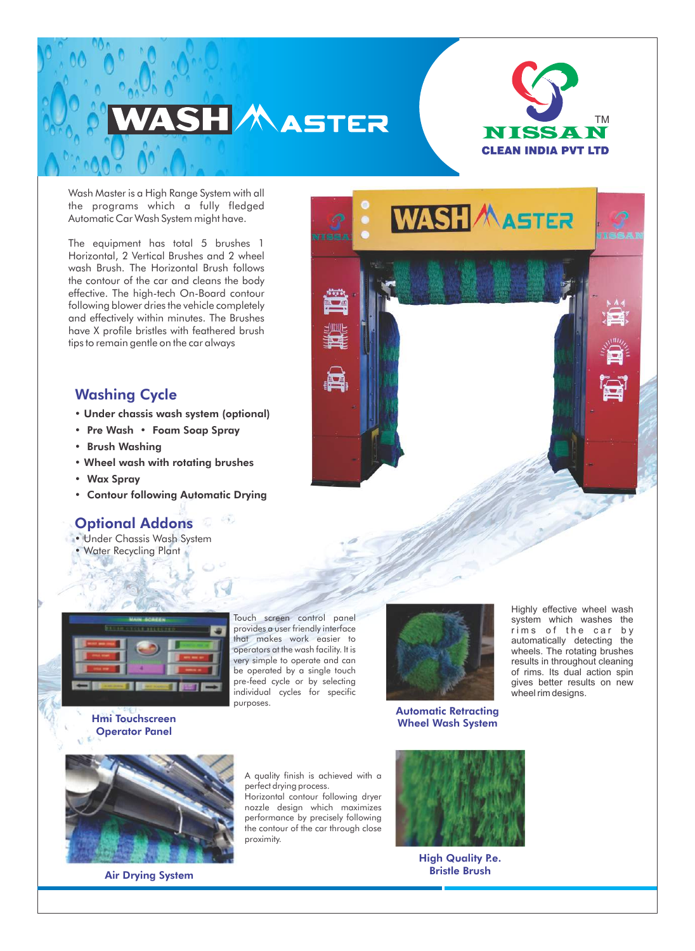



Wash Master is a High Range System with all the programs which a fully fledged Automatic Car Wash System might have.

The equipment has total 5 brushes 1 Horizontal, 2 Vertical Brushes and 2 wheel wash Brush. The Horizontal Brush follows the contour of the car and cleans the body effective. The high-tech On-Board contour following blower dries the vehicle completely and effectively within minutes. The Brushes have X profile bristles with feathered brush tips to remain gentle on the car always

## Washing Cycle

- Under chassis wash system (optional)
- Pre Wash Foam Soap Spray
- Brush Washing
- Wheel wash with rotating brushes
- Wax Spray
- Contour following Automatic Drying

#### කු භා Optional Addons

- Under Chassis Wash System
- Water Recycling Plant





Touch screen control panel provides a user friendly interface that makes work easier to operators at the wash facility. It is very simple to operate and can be operated by a single touch pre-feed cycle or by selecting individual cycles for specific purposes.



Automatic Retracting Wheel Wash System

Highly effective wheel wash system which washes the rims of the car by automatically detecting the wheels. The rotating brushes results in throughout cleaning of rims. Its dual action spin gives better results on new wheel rim designs.

Hmi Touchscreen Operator Panel



Air Drying System

A quality finish is achieved with a perfect drying process. Horizontal contour following dryer

nozzle design which maximizes performance by precisely following the contour of the car through close proximity.



**High Quality P.e.** Bristle Brush